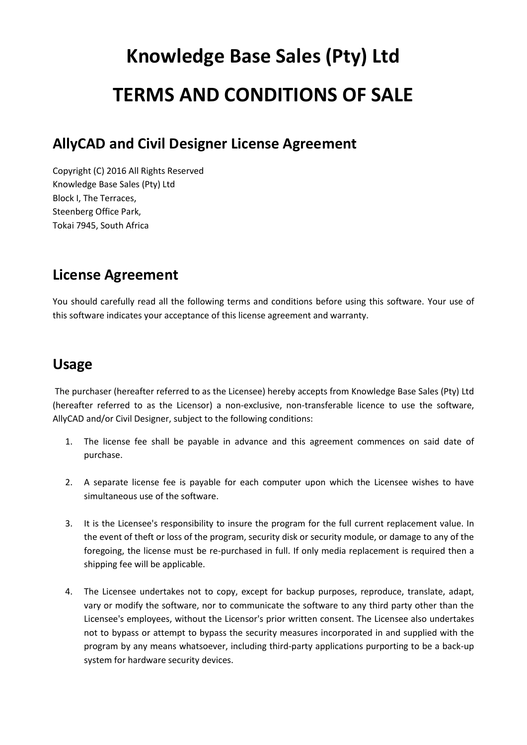# **Knowledge Base Sales (Pty) Ltd TERMS AND CONDITIONS OF SALE**

#### **AllyCAD and Civil Designer License Agreement**

Copyright (C) 2016 All Rights Reserved Knowledge Base Sales (Pty) Ltd Block I, The Terraces, Steenberg Office Park, Tokai 7945, South Africa

## **License Agreement**

You should carefully read all the following terms and conditions before using this software. Your use of this software indicates your acceptance of this license agreement and warranty.

#### **Usage**

The purchaser (hereafter referred to as the Licensee) hereby accepts from Knowledge Base Sales (Pty) Ltd (hereafter referred to as the Licensor) a non-exclusive, non-transferable licence to use the software, AllyCAD and/or Civil Designer, subject to the following conditions:

- 1. The license fee shall be payable in advance and this agreement commences on said date of purchase.
- 2. A separate license fee is payable for each computer upon which the Licensee wishes to have simultaneous use of the software.
- 3. It is the Licensee's responsibility to insure the program for the full current replacement value. In the event of theft or loss of the program, security disk or security module, or damage to any of the foregoing, the license must be re-purchased in full. If only media replacement is required then a shipping fee will be applicable.
- 4. The Licensee undertakes not to copy, except for backup purposes, reproduce, translate, adapt, vary or modify the software, nor to communicate the software to any third party other than the Licensee's employees, without the Licensor's prior written consent. The Licensee also undertakes not to bypass or attempt to bypass the security measures incorporated in and supplied with the program by any means whatsoever, including third-party applications purporting to be a back-up system for hardware security devices.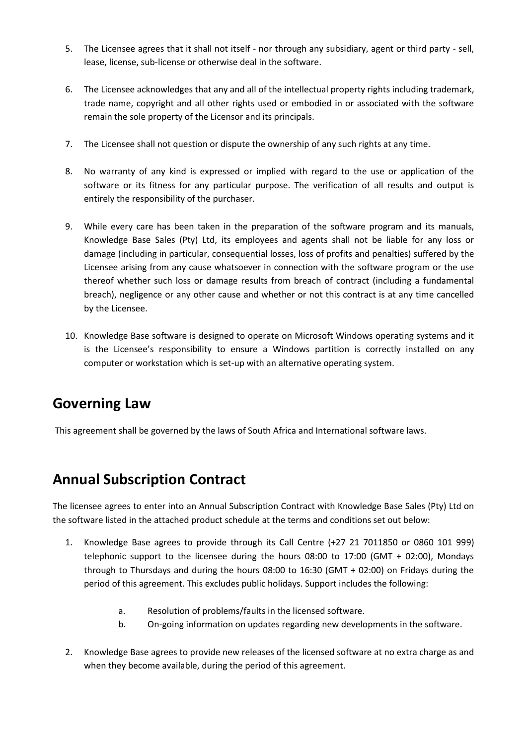- 5. The Licensee agrees that it shall not itself nor through any subsidiary, agent or third party sell, lease, license, sub-license or otherwise deal in the software.
- 6. The Licensee acknowledges that any and all of the intellectual property rights including trademark, trade name, copyright and all other rights used or embodied in or associated with the software remain the sole property of the Licensor and its principals.
- 7. The Licensee shall not question or dispute the ownership of any such rights at any time.
- 8. No warranty of any kind is expressed or implied with regard to the use or application of the software or its fitness for any particular purpose. The verification of all results and output is entirely the responsibility of the purchaser.
- 9. While every care has been taken in the preparation of the software program and its manuals, Knowledge Base Sales (Pty) Ltd, its employees and agents shall not be liable for any loss or damage (including in particular, consequential losses, loss of profits and penalties) suffered by the Licensee arising from any cause whatsoever in connection with the software program or the use thereof whether such loss or damage results from breach of contract (including a fundamental breach), negligence or any other cause and whether or not this contract is at any time cancelled by the Licensee.
- 10. Knowledge Base software is designed to operate on Microsoft Windows operating systems and it is the Licensee's responsibility to ensure a Windows partition is correctly installed on any computer or workstation which is set-up with an alternative operating system.

#### **Governing Law**

This agreement shall be governed by the laws of South Africa and International software laws.

### **Annual Subscription Contract**

The licensee agrees to enter into an Annual Subscription Contract with Knowledge Base Sales (Pty) Ltd on the software listed in the attached product schedule at the terms and conditions set out below:

- 1. Knowledge Base agrees to provide through its Call Centre (+27 21 7011850 or 0860 101 999) telephonic support to the licensee during the hours 08:00 to 17:00 (GMT + 02:00), Mondays through to Thursdays and during the hours 08:00 to 16:30 (GMT + 02:00) on Fridays during the period of this agreement. This excludes public holidays. Support includes the following:
	- a. Resolution of problems/faults in the licensed software.
	- b. On-going information on updates regarding new developments in the software.
- 2. Knowledge Base agrees to provide new releases of the licensed software at no extra charge as and when they become available, during the period of this agreement.